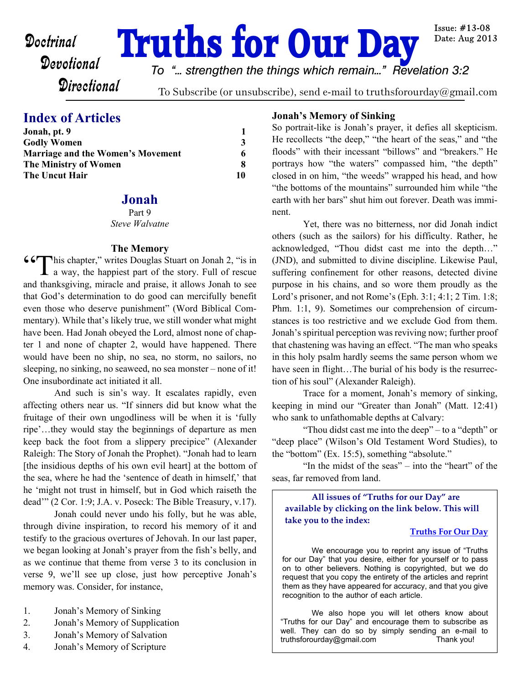**Doctrinal Truths for Our Day** 

*To "... strengthen the things which remain..." Revelation 3:2*

**Directional** 

To Subscribe (or unsubscribe), send e-mail to truthsforourday@gmail.com

# **Index of Articles**

| Jonah, pt. 9                                                                                                     |                   |
|------------------------------------------------------------------------------------------------------------------|-------------------|
| <b>Godly Women</b><br><b>Marriage and the Women's Movement</b><br><b>The Ministry of Women</b><br>The Uncut Hair | 3<br>6<br>8<br>10 |

# **Jonah**

Part 9 *Steve Walvatne*

## **The Memory**

"This chapter," writes Douglas Stuart on Jonah 2, "is in a way, the happiest part of the story. Full of rescue and thanksgiving, miracle and praise, it allows Jonah to see that God's determination to do good can mercifully benefit even those who deserve punishment" (Word Biblical Commentary). While that's likely true, we still wonder what might have been. Had Jonah obeyed the Lord, almost none of chapter 1 and none of chapter 2, would have happened. There would have been no ship, no sea, no storm, no sailors, no sleeping, no sinking, no seaweed, no sea monster – none of it! One insubordinate act initiated it all.

 And such is sin's way. It escalates rapidly, even affecting others near us. "If sinners did but know what the fruitage of their own ungodliness will be when it is 'fully ripe'…they would stay the beginnings of departure as men keep back the foot from a slippery precipice" (Alexander Raleigh: The Story of Jonah the Prophet). "Jonah had to learn [the insidious depths of his own evil heart] at the bottom of the sea, where he had the 'sentence of death in himself,' that he 'might not trust in himself, but in God which raiseth the dead'" (2 Cor. 1:9; J.A. v. Poseck: The Bible Treasury, v.17).

Jonah could never undo his folly, but he was able, through divine inspiration, to record his memory of it and testify to the gracious overtures of Jehovah. In our last paper, we began looking at Jonah's prayer from the fish's belly, and as we continue that theme from verse 3 to its conclusion in verse 9, we'll see up close, just how perceptive Jonah's memory was. Consider, for instance,

- 1. Jonah's Memory of Sinking
- 2. Jonah's Memory of Supplication
- 3. Jonah's Memory of Salvation
- 4. Jonah's Memory of Scripture

### **Jonah's Memory of Sinking**

So portrait-like is Jonah's prayer, it defies all skepticism. He recollects "the deep," "the heart of the seas," and "the floods" with their incessant "billows" and "breakers." He portrays how "the waters" compassed him, "the depth" closed in on him, "the weeds" wrapped his head, and how "the bottoms of the mountains" surrounded him while "the earth with her bars" shut him out forever. Death was imminent.

Yet, there was no bitterness, nor did Jonah indict others (such as the sailors) for his difficulty. Rather, he acknowledged, "Thou didst cast me into the depth…" (JND), and submitted to divine discipline. Likewise Paul, suffering confinement for other reasons, detected divine purpose in his chains, and so wore them proudly as the Lord's prisoner, and not Rome's (Eph. 3:1; 4:1; 2 Tim. 1:8; Phm. 1:1, 9). Sometimes our comprehension of circumstances is too restrictive and we exclude God from them. Jonah's spiritual perception was reviving now; further proof that chastening was having an effect. "The man who speaks in this holy psalm hardly seems the same person whom we have seen in flight...The burial of his body is the resurrection of his soul" (Alexander Raleigh).

Trace for a moment, Jonah's memory of sinking, keeping in mind our "Greater than Jonah" (Matt. 12:41) who sank to unfathomable depths at Calvary:

"Thou didst cast me into the deep" – to a "depth" or "deep place" (Wilson's Old Testament Word Studies), to the "bottom" (Ex. 15:5), something "absolute."

"In the midst of the seas" – into the "heart" of the seas, far removed from land.

**All issues of "Truths for our Day" are available by clicking on the link below. This will take you to the index:**

### **[Truths For Our Day](http://truthsforourday.com)**

 We encourage you to reprint any issue of "Truths for our Day" that you desire, either for yourself or to pass on to other believers. Nothing is copyrighted, but we do request that you copy the entirety of the articles and reprint them as they have appeared for accuracy, and that you give recognition to the author of each article.

We also hope you will let others know about "Truths for our Day" and encourage them to subscribe as well. They can do so by simply sending an e-mail to truthsforourday@gmail.com Thank you!

Issue:  $#13-08$ Date: Aug 2013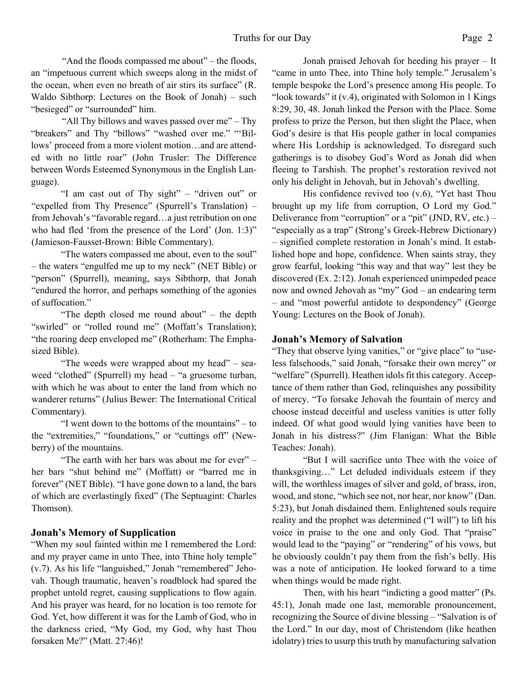"And the floods compassed me about" – the floods, an "impetuous current which sweeps along in the midst of the ocean, when even no breath of air stirs its surface" (R. Waldo Sibthorp: Lectures on the Book of Jonah) – such "besieged" or "surrounded" him.

"All Thy billows and waves passed over me" – Thy "breakers" and Thy "billows" "washed over me." "'Billows' proceed from a more violent motion…and are attended with no little roar" (John Trusler: The Difference between Words Esteemed Synonymous in the English Language).

"I am cast out of Thy sight" – "driven out" or "expelled from Thy Presence" (Spurrell's Translation) – from Jehovah's "favorable regard…a just retribution on one who had fled 'from the presence of the Lord' (Jon. 1:3)" (Jamieson-Fausset-Brown: Bible Commentary).

"The waters compassed me about, even to the soul" – the waters "engulfed me up to my neck" (NET Bible) or "person" (Spurrell), meaning, says Sibthorp, that Jonah "endured the horror, and perhaps something of the agonies of suffocation."

"The depth closed me round about" – the depth "swirled" or "rolled round me" (Moffatt's Translation); "the roaring deep enveloped me" (Rotherham: The Emphasized Bible).

"The weeds were wrapped about my head" – seaweed "clothed" (Spurrell) my head – "a gruesome turban, with which he was about to enter the land from which no wanderer returns" (Julius Bewer: The International Critical Commentary).

"I went down to the bottoms of the mountains" – to the "extremities," "foundations," or "cuttings off" (Newberry) of the mountains.

"The earth with her bars was about me for ever" – her bars "shut behind me" (Moffatt) or "barred me in forever" (NET Bible). "I have gone down to a land, the bars of which are everlastingly fixed" (The Septuagint: Charles Thomson).

# **Jonah's Memory of Supplication**

"When my soul fainted within me I remembered the Lord: and my prayer came in unto Thee, into Thine holy temple" (v.7). As his life "languished," Jonah "remembered" Jehovah. Though traumatic, heaven's roadblock had spared the prophet untold regret, causing supplications to flow again. And his prayer was heard, for no location is too remote for God. Yet, how different it was for the Lamb of God, who in the darkness cried, "My God, my God, why hast Thou forsaken Me?" (Matt. 27:46)!

 Jonah praised Jehovah for heeding his prayer – It "came in unto Thee, into Thine holy temple." Jerusalem's temple bespoke the Lord's presence among His people. To "look towards" it (v.4), originated with Solomon in 1 Kings 8:29, 30, 48. Jonah linked the Person with the Place. Some profess to prize the Person, but then slight the Place, when God's desire is that His people gather in local companies where His Lordship is acknowledged. To disregard such gatherings is to disobey God's Word as Jonah did when fleeing to Tarshish. The prophet's restoration revived not only his delight in Jehovah, but in Jehovah's dwelling.

 His confidence revived too (v.6), "Yet hast Thou brought up my life from corruption, O Lord my God." Deliverance from "corruption" or a "pit" (JND, RV, etc.) – "especially as a trap" (Strong's Greek-Hebrew Dictionary) – signified complete restoration in Jonah's mind. It established hope and hope, confidence. When saints stray, they grow fearful, looking "this way and that way" lest they be discovered (Ex. 2:12). Jonah experienced unimpeded peace now and owned Jehovah as "my" God – an endearing term – and "most powerful antidote to despondency" (George Young: Lectures on the Book of Jonah).

# **Jonah's Memory of Salvation**

"They that observe lying vanities," or "give place" to "useless falsehoods," said Jonah, "forsake their own mercy" or "welfare" (Spurrell). Heathen idols fit this category. Acceptance of them rather than God, relinquishes any possibility of mercy. "To forsake Jehovah the fountain of mercy and choose instead deceitful and useless vanities is utter folly indeed. Of what good would lying vanities have been to Jonah in his distress?" (Jim Flanigan: What the Bible Teaches: Jonah).

"But I will sacrifice unto Thee with the voice of thanksgiving…" Let deluded individuals esteem if they will, the worthless images of silver and gold, of brass, iron, wood, and stone, "which see not, nor hear, nor know" (Dan. 5:23), but Jonah disdained them. Enlightened souls require reality and the prophet was determined ("I will") to lift his voice in praise to the one and only God. That "praise" would lead to the "paying" or "rendering" of his vows, but he obviously couldn't pay them from the fish's belly. His was a note of anticipation. He looked forward to a time when things would be made right.

Then, with his heart "indicting a good matter" (Ps. 45:1), Jonah made one last, memorable pronouncement, recognizing the Source of divine blessing – "Salvation is of the Lord." In our day, most of Christendom (like heathen idolatry) tries to usurp this truth by manufacturing salvation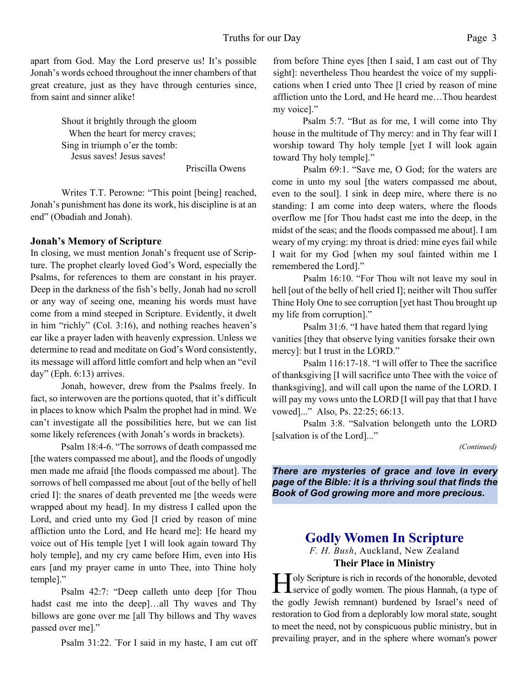apart from God. May the Lord preserve us! It's possible Jonah's words echoed throughout the inner chambers of that great creature, just as they have through centuries since, from saint and sinner alike!

> Shout it brightly through the gloom When the heart for mercy craves; Sing in triumph o'er the tomb: Jesus saves! Jesus saves!

> > Priscilla Owens

Writes T.T. Perowne: "This point [being] reached, Jonah's punishment has done its work, his discipline is at an end" (Obadiah and Jonah).

## **Jonah's Memory of Scripture**

In closing, we must mention Jonah's frequent use of Scripture. The prophet clearly loved God's Word, especially the Psalms, for references to them are constant in his prayer. Deep in the darkness of the fish's belly, Jonah had no scroll or any way of seeing one, meaning his words must have come from a mind steeped in Scripture. Evidently, it dwelt in him "richly" (Col. 3:16), and nothing reaches heaven's ear like a prayer laden with heavenly expression. Unless we determine to read and meditate on God's Word consistently, its message will afford little comfort and help when an "evil day" (Eph. 6:13) arrives.

 Jonah, however, drew from the Psalms freely. In fact, so interwoven are the portions quoted, that it's difficult in places to know which Psalm the prophet had in mind. We can't investigate all the possibilities here, but we can list some likely references (with Jonah's words in brackets).

Psalm 18:4-6. "The sorrows of death compassed me [the waters compassed me about], and the floods of ungodly men made me afraid [the floods compassed me about]. The sorrows of hell compassed me about [out of the belly of hell cried I]: the snares of death prevented me [the weeds were wrapped about my head]. In my distress I called upon the Lord, and cried unto my God [I cried by reason of mine affliction unto the Lord, and He heard me]: He heard my voice out of His temple [yet I will look again toward Thy holy temple], and my cry came before Him, even into His ears [and my prayer came in unto Thee, into Thine holy temple]."

Psalm 42:7: "Deep calleth unto deep [for Thou hadst cast me into the deep]…all Thy waves and Thy billows are gone over me [all Thy billows and Thy waves passed over me]."

Psalm 31:22. "For I said in my haste, I am cut off

from before Thine eyes [then I said, I am cast out of Thy sight]: nevertheless Thou heardest the voice of my supplications when I cried unto Thee [I cried by reason of mine affliction unto the Lord, and He heard me…Thou heardest my voice]."

Psalm 5:7. "But as for me, I will come into Thy house in the multitude of Thy mercy: and in Thy fear will I worship toward Thy holy temple [yet I will look again toward Thy holy temple]."

Psalm 69:1. "Save me, O God; for the waters are come in unto my soul [the waters compassed me about, even to the soul]. I sink in deep mire, where there is no standing: I am come into deep waters, where the floods overflow me [for Thou hadst cast me into the deep, in the midst of the seas; and the floods compassed me about]. I am weary of my crying: my throat is dried: mine eyes fail while I wait for my God [when my soul fainted within me I remembered the Lord]."

Psalm 16:10. "For Thou wilt not leave my soul in hell [out of the belly of hell cried I]; neither wilt Thou suffer Thine Holy One to see corruption [yet hast Thou brought up my life from corruption]."

Psalm 31:6. "I have hated them that regard lying vanities [they that observe lying vanities forsake their own mercy]: but I trust in the LORD."

Psalm 116:17-18. "I will offer to Thee the sacrifice of thanksgiving [I will sacrifice unto Thee with the voice of thanksgiving], and will call upon the name of the LORD. I will pay my vows unto the LORD [I will pay that that I have vowed]..." Also, Ps. 22:25; 66:13.

Psalm 3:8. "Salvation belongeth unto the LORD [salvation is of the Lord]..."

*(Continued)*

*There are mysteries of grace and love in every page of the Bible: it is a thriving soul that finds the Book of God growing more and more precious.*

# **Godly Women In Scripture** *F. H. Bush*, Auckland, New Zealand

**Their Place in Ministry**

**H** oly Scripture is rich in records of the honorable, devoted service of godly women. The pious Hannah, (a type of  $\Gamma$   $\Gamma$  oly Scripture is rich in records of the honorable, devoted the godly Jewish remnant) burdened by Israel's need of restoration to God from a deplorably low moral state, sought to meet the need, not by conspicuous public ministry, but in prevailing prayer, and in the sphere where woman's power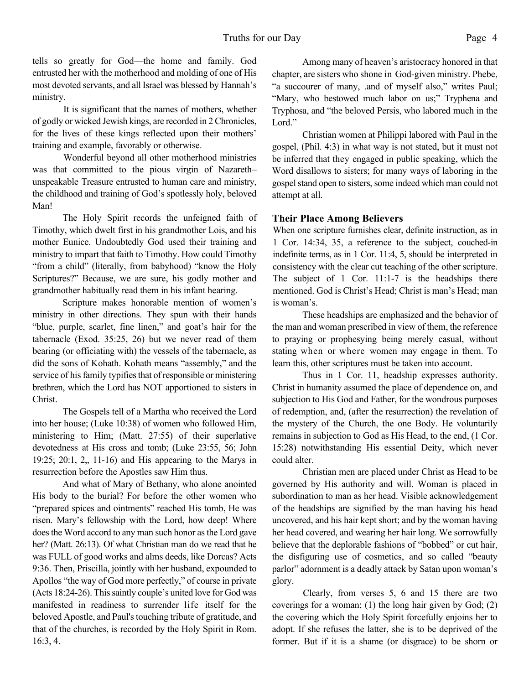tells so greatly for God—the home and family. God entrusted her with the motherhood and molding of one of His most devoted servants, and all Israel was blessed by Hannah's ministry.

It is significant that the names of mothers, whether of godly or wicked Jewish kings, are recorded in 2 Chronicles, for the lives of these kings reflected upon their mothers' training and example, favorably or otherwise.

Wonderful beyond all other motherhood ministries was that committed to the pious virgin of Nazareth– unspeakable Treasure entrusted to human care and ministry, the childhood and training of God's spotlessly holy, beloved Man!

The Holy Spirit records the unfeigned faith of Timothy, which dwelt first in his grandmother Lois, and his mother Eunice. Undoubtedly God used their training and ministry to impart that faith to Timothy. How could Timothy "from a child" (literally, from babyhood) "know the Holy Scriptures?" Because, we are sure, his godly mother and grandmother habitually read them in his infant hearing.

Scripture makes honorable mention of women's ministry in other directions. They spun with their hands "blue, purple, scarlet, fine linen," and goat's hair for the tabernacle (Exod. 35:25, 26) but we never read of them bearing (or officiating with) the vessels of the tabernacle, as did the sons of Kohath. Kohath means "assembly," and the service of his family typifies that of responsible or ministering brethren, which the Lord has NOT apportioned to sisters in Christ.

The Gospels tell of a Martha who received the Lord into her house; (Luke 10:38) of women who followed Him, ministering to Him; (Matt. 27:55) of their superlative devotedness at His cross and tomb; (Luke 23:55, 56; John 19:25; 20:1, 2,, 11-16) and His appearing to the Marys in resurrection before the Apostles saw Him thus.

And what of Mary of Bethany, who alone anointed His body to the burial? For before the other women who "prepared spices and ointments" reached His tomb, He was risen. Mary's fellowship with the Lord, how deep! Where does the Word accord to any man such honor as the Lord gave her? (Matt. 26:13). Of what Christian man do we read that he was FULL of good works and alms deeds, like Dorcas? Acts 9:36. Then, Priscilla, jointly with her husband, expounded to Apollos "the way of God more perfectly," of course in private (Acts 18:24-26). This saintly couple's united love for God was manifested in readiness to surrender life itself for the beloved Apostle, and Paul's touching tribute of gratitude, and that of the churches, is recorded by the Holy Spirit in Rom. 16:3, 4.

Among many of heaven's aristocracy honored in that chapter, are sisters who shone in God-given ministry. Phebe, "a succourer of many, .and of myself also," writes Paul; "Mary, who bestowed much labor on us;" Tryphena and Tryphosa, and "the beloved Persis, who labored much in the Lord."

Christian women at Philippi labored with Paul in the gospel, (Phil. 4:3) in what way is not stated, but it must not be inferred that they engaged in public speaking, which the Word disallows to sisters; for many ways of laboring in the gospel stand open to sisters, some indeed which man could not attempt at all.

## **Their Place Among Believers**

When one scripture furnishes clear, definite instruction, as in 1 Cor. 14:34, 35, a reference to the subject, couched-in indefinite terms, as in 1 Cor. 11:4, 5, should be interpreted in consistency with the clear cut teaching of the other scripture. The subject of 1 Cor. 11:1-7 is the headships there mentioned. God is Christ's Head; Christ is man's Head; man is woman's.

These headships are emphasized and the behavior of the man and woman prescribed in view of them, the reference to praying or prophesying being merely casual, without stating when or where women may engage in them. To learn this, other scriptures must be taken into account.

Thus in 1 Cor. 11, headship expresses authority. Christ in humanity assumed the place of dependence on, and subjection to His God and Father, for the wondrous purposes of redemption, and, (after the resurrection) the revelation of the mystery of the Church, the one Body. He voluntarily remains in subjection to God as His Head, to the end, (1 Cor. 15:28) notwithstanding His essential Deity, which never could alter.

Christian men are placed under Christ as Head to be governed by His authority and will. Woman is placed in subordination to man as her head. Visible acknowledgement of the headships are signified by the man having his head uncovered, and his hair kept short; and by the woman having her head covered, and wearing her hair long. We sorrowfully believe that the deplorable fashions of "bobbed" or cut hair, the disfiguring use of cosmetics, and so called "beauty parlor" adornment is a deadly attack by Satan upon woman's glory.

Clearly, from verses 5, 6 and 15 there are two coverings for a woman; (1) the long hair given by God; (2) the covering which the Holy Spirit forcefully enjoins her to adopt. If she refuses the latter, she is to be deprived of the former. But if it is a shame (or disgrace) to be shorn or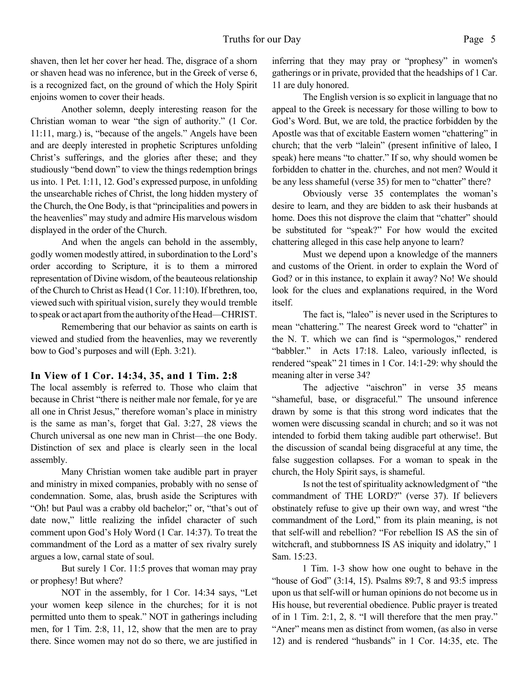shaven, then let her cover her head. The, disgrace of a shorn or shaven head was no inference, but in the Greek of verse 6, is a recognized fact, on the ground of which the Holy Spirit enjoins women to cover their heads.

Another solemn, deeply interesting reason for the Christian woman to wear "the sign of authority." (1 Cor. 11:11, marg.) is, "because of the angels." Angels have been and are deeply interested in prophetic Scriptures unfolding Christ's sufferings, and the glories after these; and they studiously "bend down" to view the things redemption brings us into. 1 Pet. 1:11, 12. God's expressed purpose, in unfolding the unsearchable riches of Christ, the long hidden mystery of the Church, the One Body, is that "principalities and powers in the heavenlies" may study and admire His marvelous wisdom displayed in the order of the Church.

And when the angels can behold in the assembly, godly women modestly attired, in subordination to the Lord's order according to Scripture, it is to them a mirrored representation of Divine wisdom, of the beauteous relationship of the Church to Christ as Head (1 Cor. 11:10). If brethren, too, viewed such with spiritual vision, surely they would tremble to speak or act apart from the authority of the Head—CHRIST.

Remembering that our behavior as saints on earth is viewed and studied from the heavenlies, may we reverently bow to God's purposes and will (Eph. 3:21).

# **In View of 1 Cor. 14:34, 35, and 1 Tim. 2:8**

The local assembly is referred to. Those who claim that because in Christ "there is neither male nor female, for ye are all one in Christ Jesus," therefore woman's place in ministry is the same as man's, forget that Gal. 3:27, 28 views the Church universal as one new man in Christ—the one Body. Distinction of sex and place is clearly seen in the local assembly.

Many Christian women take audible part in prayer and ministry in mixed companies, probably with no sense of condemnation. Some, alas, brush aside the Scriptures with "Oh! but Paul was a crabby old bachelor;" or, "that's out of date now," little realizing the infidel character of such comment upon God's Holy Word (1 Car. 14:37). To treat the commandment of the Lord as a matter of sex rivalry surely argues a low, carnal state of soul.

But surely 1 Cor. 11:5 proves that woman may pray or prophesy! But where?

NOT in the assembly, for 1 Cor. 14:34 says, "Let your women keep silence in the churches; for it is not permitted unto them to speak." NOT in gatherings including men, for 1 Tim. 2:8, 11, 12, show that the men are to pray there. Since women may not do so there, we are justified in inferring that they may pray or "prophesy" in women's gatherings or in private, provided that the headships of 1 Car. 11 are duly honored.

The English version is so explicit in language that no appeal to the Greek is necessary for those willing to bow to God's Word. But, we are told, the practice forbidden by the Apostle was that of excitable Eastern women "chattering" in church; that the verb "lalein" (present infinitive of laleo, I speak) here means "to chatter." If so, why should women be forbidden to chatter in the. churches, and not men? Would it be any less shameful (verse 35) for men to "chatter" there?

Obviously verse 35 contemplates the woman's desire to learn, and they are bidden to ask their husbands at home. Does this not disprove the claim that "chatter" should be substituted for "speak?" For how would the excited chattering alleged in this case help anyone to learn?

Must we depend upon a knowledge of the manners and customs of the Orient. in order to explain the Word of God? or in this instance, to explain it away? No! We should look for the clues and explanations required, in the Word itself.

The fact is, "laleo" is never used in the Scriptures to mean "chattering." The nearest Greek word to "chatter" in the N. T. which we can find is "spermologos," rendered "babbler." in Acts 17:18. Laleo, variously inflected, is rendered "speak" 21 times in 1 Cor. 14:1-29: why should the meaning alter in verse 34?

The adjective "aischron" in verse 35 means "shameful, base, or disgraceful." The unsound inference drawn by some is that this strong word indicates that the women were discussing scandal in church; and so it was not intended to forbid them taking audible part otherwise!. But the discussion of scandal being disgraceful at any time, the false suggestion collapses. For a woman to speak in the church, the Holy Spirit says, is shameful.

Is not the test of spirituality acknowledgment of "the commandment of THE LORD?" (verse 37). If believers obstinately refuse to give up their own way, and wrest "the commandment of the Lord," from its plain meaning, is not that self-will and rebellion? "For rebellion IS AS the sin of witchcraft, and stubbornness IS AS iniquity and idolatry," 1 Sam. 15:23.

1 Tim. 1-3 show how one ought to behave in the "house of God"  $(3:14, 15)$ . Psalms 89:7, 8 and 93:5 impress upon us that self-will or human opinions do not become us in His house, but reverential obedience. Public prayer is treated of in 1 Tim. 2:1, 2, 8. "I will therefore that the men pray." "Aner" means men as distinct from women, (as also in verse 12) and is rendered "husbands" in 1 Cor. 14:35, etc. The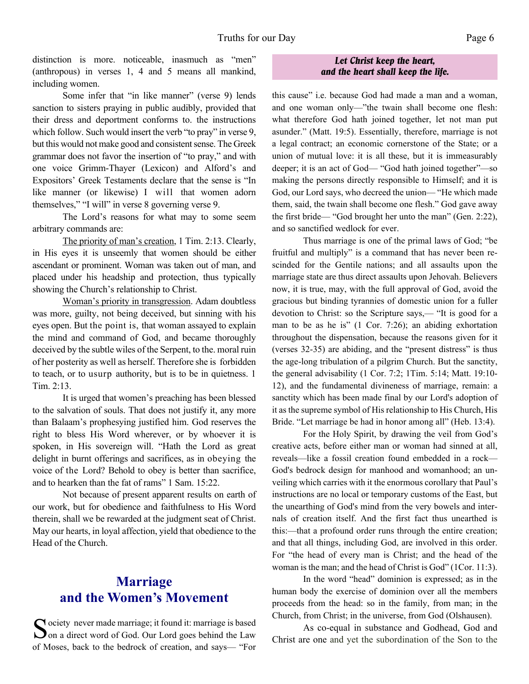distinction is more noticeable, inasmuch as "men" (anthropous) in verses 1, 4 and 5 means all mankind, including women.

Some infer that "in like manner" (verse 9) lends sanction to sisters praying in public audibly, provided that their dress and deportment conforms to. the instructions which follow. Such would insert the verb "to pray" in verse 9, but this would not make good and consistent sense. The Greek grammar does not favor the insertion of "to pray," and with one voice Grimm-Thayer (Lexicon) and Alford's and Expositors' Greek Testaments declare that the sense is "In like manner (or likewise) I will that women adorn themselves," "I will" in verse 8 governing verse 9.

The Lord's reasons for what may to some seem arbitrary commands are:

The priority of man's creation, 1 Tim. 2:13. Clearly, in His eyes it is unseemly that women should be either ascendant or prominent. Woman was taken out of man, and placed under his headship and protection, thus typically showing the Church's relationship to Christ.

Woman's priority in transgression. Adam doubtless was more, guilty, not being deceived, but sinning with his eyes open. But the point is, that woman assayed to explain the mind and command of God, and became thoroughly deceived by the subtle wiles of the Serpent, to the. moral ruin of her posterity as well as herself. Therefore she is forbidden to teach, or to usurp authority, but is to be in quietness. 1 Tim. 2:13.

It is urged that women's preaching has been blessed to the salvation of souls. That does not justify it, any more than Balaam's prophesying justified him. God reserves the right to bless His Word wherever, or by whoever it is spoken, in His sovereign will. "Hath the Lord as great delight in burnt offerings and sacrifices, as in obeying the voice of the Lord? Behold to obey is better than sacrifice, and to hearken than the fat of rams" 1 Sam. 15:22.

Not because of present apparent results on earth of our work, but for obedience and faithfulness to His Word therein, shall we be rewarded at the judgment seat of Christ. May our hearts, in loyal affection, yield that obedience to the Head of the Church.

# **Marriage and the Women's Movement**

Society never made marriage; it found it: marriage is based<br>Son a direct word of God. Our Lord goes behind the Law  $\sum$  on a direct word of God. Our Lord goes behind the Law of Moses, back to the bedrock of creation, and says— "For

#### *Let Christ keep the heart, and the heart shall keep the life.*

this cause" i.e. because God had made a man and a woman, and one woman only—"the twain shall become one flesh: what therefore God hath joined together, let not man put asunder." (Matt. 19:5). Essentially, therefore, marriage is not a legal contract; an economic cornerstone of the State; or a union of mutual love: it is all these, but it is immeasurably deeper; it is an act of God— "God hath joined together"—so making the persons directly responsible to Himself; and it is God, our Lord says, who decreed the union— "He which made them, said, the twain shall become one flesh." God gave away the first bride— "God brought her unto the man" (Gen. 2:22), and so sanctified wedlock for ever.

Thus marriage is one of the primal laws of God; "be fruitful and multiply" is a command that has never been rescinded for the Gentile nations; and all assaults upon the marriage state are thus direct assaults upon Jehovah. Believers now, it is true, may, with the full approval of God, avoid the gracious but binding tyrannies of domestic union for a fuller devotion to Christ: so the Scripture says,— "It is good for a man to be as he is" (1 Cor. 7:26); an abiding exhortation throughout the dispensation, because the reasons given for it (verses 32-35) are abiding, and the "present distress" is thus the age-long tribulation of a pilgrim Church. But the sanctity, the general advisability (1 Cor. 7:2; 1Tim. 5:14; Matt. 19:10- 12), and the fundamental divineness of marriage, remain: a sanctity which has been made final by our Lord's adoption of it as the supreme symbol of His relationship to His Church, His Bride. "Let marriage be had in honor among all" (Heb. 13:4).

For the Holy Spirit, by drawing the veil from God's creative acts, before either man or woman had sinned at all, reveals—like a fossil creation found embedded in a rock— God's bedrock design for manhood and womanhood; an unveiling which carries with it the enormous corollary that Paul's instructions are no local or temporary customs of the East, but the unearthing of God's mind from the very bowels and internals of creation itself. And the first fact thus unearthed is this:—that a profound order runs through the entire creation; and that all things, including God, are involved in this order. For "the head of every man is Christ; and the head of the woman is the man; and the head of Christ is God" (1Cor. 11:3).

In the word "head" dominion is expressed; as in the human body the exercise of dominion over all the members proceeds from the head: so in the family, from man; in the Church, from Christ; in the universe, from God (Olshausen).

As co-equal in substance and Godhead, God and Christ are one and yet the subordination of the Son to the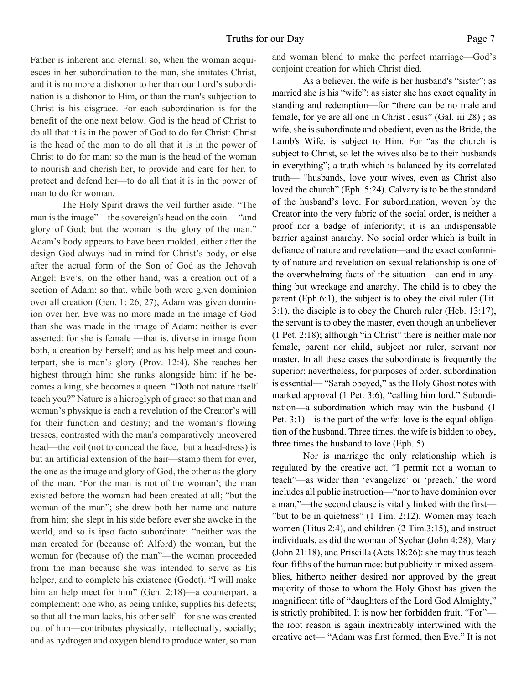Father is inherent and eternal: so, when the woman acquiesces in her subordination to the man, she imitates Christ, and it is no more a dishonor to her than our Lord's subordination is a dishonor to Him, or than the man's subjection to Christ is his disgrace. For each subordination is for the benefit of the one next below. God is the head of Christ to do all that it is in the power of God to do for Christ: Christ is the head of the man to do all that it is in the power of Christ to do for man: so the man is the head of the woman to nourish and cherish her, to provide and care for her, to protect and defend her—to do all that it is in the power of man to do for woman.

The Holy Spirit draws the veil further aside. "The man is the image"—the sovereign's head on the coin— "and glory of God; but the woman is the glory of the man." Adam's body appears to have been molded, either after the design God always had in mind for Christ's body, or else after the actual form of the Son of God as the Jehovah Angel: Eve's, on the other hand, was a creation out of a section of Adam; so that, while both were given dominion over all creation (Gen. 1: 26, 27), Adam was given dominion over her. Eve was no more made in the image of God than she was made in the image of Adam: neither is ever asserted: for she is female —that is, diverse in image from both, a creation by herself; and as his help meet and counterpart, she is man's glory (Prov. 12:4). She reaches her highest through him: she ranks alongside him: if he becomes a king, she becomes a queen. "Doth not nature itself teach you?" Nature is a hieroglyph of grace: so that man and woman's physique is each a revelation of the Creator's will for their function and destiny; and the woman's flowing tresses, contrasted with the man's comparatively uncovered head—the veil (not to conceal the face, but a head-dress) is but an artificial extension of the hair—stamp them for ever, the one as the image and glory of God, the other as the glory of the man. 'For the man is not of the woman'; the man existed before the woman had been created at all; "but the woman of the man"; she drew both her name and nature from him; she slept in his side before ever she awoke in the world, and so is ipso facto subordinate: "neither was the man created for (because of: Alford) the woman, but the woman for (because of) the man"—the woman proceeded from the man because she was intended to serve as his helper, and to complete his existence (Godet). "I will make him an help meet for him" (Gen. 2:18)—a counterpart, a complement; one who, as being unlike, supplies his defects; so that all the man lacks, his other self—for she was created out of him—contributes physically, intellectually, socially; and as hydrogen and oxygen blend to produce water, so man

and woman blend to make the perfect marriage—God's conjoint creation for which Christ died.

As a believer, the wife is her husband's "sister"; as married she is his "wife": as sister she has exact equality in standing and redemption—for "there can be no male and female, for ye are all one in Christ Jesus" (Gal. iii 28) ; as wife, she is subordinate and obedient, even as the Bride, the Lamb's Wife, is subject to Him. For "as the church is subject to Christ, so let the wives also be to their husbands in everything"; a truth which is balanced by its correlated truth— "husbands, love your wives, even as Christ also loved the church" (Eph. 5:24). Calvary is to be the standard of the husband's love. For subordination, woven by the Creator into the very fabric of the social order, is neither a proof nor a badge of inferiority; it is an indispensable barrier against anarchy. No social order which is built in defiance of nature and revelation—and the exact conformity of nature and revelation on sexual relationship is one of the overwhelming facts of the situation—can end in anything but wreckage and anarchy. The child is to obey the parent (Eph.6:1), the subject is to obey the civil ruler (Tit. 3:1), the disciple is to obey the Church ruler (Heb. 13:17), the servant is to obey the master, even though an unbeliever (1 Pet. 2:18); although "in Christ" there is neither male nor female, parent nor child, subject nor ruler, servant nor master. In all these cases the subordinate is frequently the superior; nevertheless, for purposes of order, subordination is essential— "Sarah obeyed," as the Holy Ghost notes with marked approval (1 Pet. 3:6), "calling him lord." Subordination—a subordination which may win the husband (1 Pet. 3:1)—is the part of the wife: love is the equal obligation of the husband. Three times, the wife is bidden to obey, three times the husband to love (Eph. 5).

Nor is marriage the only relationship which is regulated by the creative act. "I permit not a woman to teach"—as wider than 'evangelize' or 'preach,' the word includes all public instruction—"nor to have dominion over a man,"—the second clause is vitally linked with the first— "but to be in quietness" (1 Tim. 2:12). Women may teach women (Titus 2:4), and children (2 Tim.3:15), and instruct individuals, as did the woman of Sychar (John 4:28), Mary (John 21:18), and Priscilla (Acts 18:26): she may thus teach four-fifths of the human race: but publicity in mixed assemblies, hitherto neither desired nor approved by the great majority of those to whom the Holy Ghost has given the magnificent title of "daughters of the Lord God Almighty," is strictly prohibited. It is now her forbidden fruit. "For" the root reason is again inextricably intertwined with the creative act— "Adam was first formed, then Eve." It is not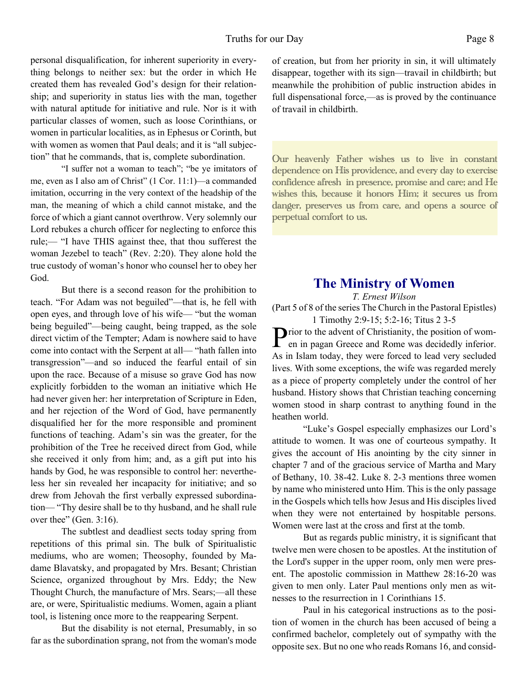personal disqualification, for inherent superiority in everything belongs to neither sex: but the order in which He created them has revealed God's design for their relationship; and superiority in status lies with the man, together with natural aptitude for initiative and rule. Nor is it with particular classes of women, such as loose Corinthians, or women in particular localities, as in Ephesus or Corinth, but with women as women that Paul deals; and it is "all subjection" that he commands, that is, complete subordination.

"I suffer not a woman to teach"; "be ye imitators of me, even as I also am of Christ" (1 Cor. 11:1)—a commanded imitation, occurring in the very context of the headship of the man, the meaning of which a child cannot mistake, and the force of which a giant cannot overthrow. Very solemnly our Lord rebukes a church officer for neglecting to enforce this rule;— "I have THIS against thee, that thou sufferest the woman Jezebel to teach" (Rev. 2:20). They alone hold the true custody of woman's honor who counsel her to obey her God.

But there is a second reason for the prohibition to teach. "For Adam was not beguiled"—that is, he fell with open eyes, and through love of his wife— "but the woman being beguiled"—being caught, being trapped, as the sole direct victim of the Tempter; Adam is nowhere said to have come into contact with the Serpent at all— "hath fallen into transgression"—and so induced the fearful entail of sin upon the race. Because of a misuse so grave God has now explicitly forbidden to the woman an initiative which He had never given her: her interpretation of Scripture in Eden, and her rejection of the Word of God, have permanently disqualified her for the more responsible and prominent functions of teaching. Adam's sin was the greater, for the prohibition of the Tree he received direct from God, while she received it only from him; and, as a gift put into his hands by God, he was responsible to control her: nevertheless her sin revealed her incapacity for initiative; and so drew from Jehovah the first verbally expressed subordination— "Thy desire shall be to thy husband, and he shall rule over thee" (Gen. 3:16).

The subtlest and deadliest sects today spring from repetitions of this primal sin. The bulk of Spiritualistic mediums, who are women; Theosophy, founded by Madame Blavatsky, and propagated by Mrs. Besant; Christian Science, organized throughout by Mrs. Eddy; the New Thought Church, the manufacture of Mrs. Sears;—all these are, or were, Spiritualistic mediums. Women, again a pliant tool, is listening once more to the reappearing Serpent.

But the disability is not eternal, Presumably, in so far as the subordination sprang, not from the woman's mode

of creation, but from her priority in sin, it will ultimately disappear, together with its sign—travail in childbirth; but meanwhile the prohibition of public instruction abides in full dispensational force,—as is proved by the continuance of travail in childbirth.

Our heavenly Father wishes us to live in constant dependence on His providence, and every day to exercise confidence afresh in presence, promise and care; and He wishes this, because it honors Him; it secures us from danger, preserves us from care, and opens a source of perpetual comfort to us.

# **The Ministry of Women**

*T. Ernest Wilson* (Part 5 of 8 of the series The Church in the Pastoral Epistles) 1 Timothy 2:9-15; 5:2-16; Titus 2 3-5

Prior to the advent of Christianity, the position of wom-<br>en in pagan Greece and Rome was decidedly inferior.  $\Gamma$  en in pagan Greece and Rome was decidedly inferior. As in Islam today, they were forced to lead very secluded lives. With some exceptions, the wife was regarded merely as a piece of property completely under the control of her husband. History shows that Christian teaching concerning women stood in sharp contrast to anything found in the heathen world.

"Luke's Gospel especially emphasizes our Lord's attitude to women. It was one of courteous sympathy. It gives the account of His anointing by the city sinner in chapter 7 and of the gracious service of Martha and Mary of Bethany, 10. 38-42. Luke 8. 2-3 mentions three women by name who ministered unto Him. This is the only passage in the Gospels which tells how Jesus and His disciples lived when they were not entertained by hospitable persons. Women were last at the cross and first at the tomb.

But as regards public ministry, it is significant that twelve men were chosen to be apostles. At the institution of the Lord's supper in the upper room, only men were present. The apostolic commission in Matthew 28:16-20 was given to men only. Later Paul mentions only men as witnesses to the resurrection in 1 Corinthians 15.

Paul in his categorical instructions as to the position of women in the church has been accused of being a confirmed bachelor, completely out of sympathy with the opposite sex. But no one who reads Romans 16, and consid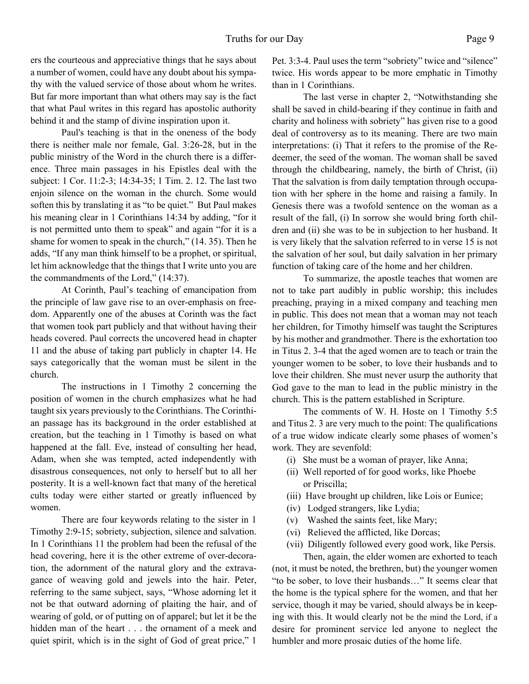ers the courteous and appreciative things that he says about a number of women, could have any doubt about his sympathy with the valued service of those about whom he writes. But far more important than what others may say is the fact that what Paul writes in this regard has apostolic authority behind it and the stamp of divine inspiration upon it.

Paul's teaching is that in the oneness of the body there is neither male nor female, Gal. 3:26-28, but in the public ministry of the Word in the church there is a difference. Three main passages in his Epistles deal with the subject: 1 Cor. 11:2-3; 14:34-35; 1 Tim. 2. 12. The last two enjoin silence on the woman in the church. Some would soften this by translating it as "to be quiet." But Paul makes his meaning clear in 1 Corinthians 14:34 by adding, "for it is not permitted unto them to speak" and again "for it is a shame for women to speak in the church," (14. 35). Then he adds, "If any man think himself to be a prophet, or spiritual, let him acknowledge that the things that I write unto you are the commandments of the Lord," (14:37).

At Corinth, Paul's teaching of emancipation from the principle of law gave rise to an over-emphasis on freedom. Apparently one of the abuses at Corinth was the fact that women took part publicly and that without having their heads covered. Paul corrects the uncovered head in chapter 11 and the abuse of taking part publicly in chapter 14. He says categorically that the woman must be silent in the church.

The instructions in 1 Timothy 2 concerning the position of women in the church emphasizes what he had taught six years previously to the Corinthians. The Corinthian passage has its background in the order established at creation, but the teaching in 1 Timothy is based on what happened at the fall. Eve, instead of consulting her head, Adam, when she was tempted, acted independently with disastrous consequences, not only to herself but to all her posterity. It is a well-known fact that many of the heretical cults today were either started or greatly influenced by women.

There are four keywords relating to the sister in 1 Timothy 2:9-15; sobriety, subjection, silence and salvation. In 1 Corinthians 11 the problem had been the refusal of the head covering, here it is the other extreme of over-decoration, the adornment of the natural glory and the extravagance of weaving gold and jewels into the hair. Peter, referring to the same subject, says, "Whose adorning let it not be that outward adorning of plaiting the hair, and of wearing of gold, or of putting on of apparel; but let it be the hidden man of the heart . . . the ornament of a meek and quiet spirit, which is in the sight of God of great price," 1

Pet. 3:3-4. Paul uses the term "sobriety" twice and "silence" twice. His words appear to be more emphatic in Timothy than in 1 Corinthians.

The last verse in chapter 2, "Notwithstanding she shall be saved in child-bearing if they continue in faith and charity and holiness with sobriety" has given rise to a good deal of controversy as to its meaning. There are two main interpretations: (i) That it refers to the promise of the Redeemer, the seed of the woman. The woman shall be saved through the childbearing, namely, the birth of Christ, (ii) That the salvation is from daily temptation through occupation with her sphere in the home and raising a family. In Genesis there was a twofold sentence on the woman as a result of the fall, (i) In sorrow she would bring forth children and (ii) she was to be in subjection to her husband. It is very likely that the salvation referred to in verse 15 is not the salvation of her soul, but daily salvation in her primary function of taking care of the home and her children.

To summarize, the apostle teaches that women are not to take part audibly in public worship; this includes preaching, praying in a mixed company and teaching men in public. This does not mean that a woman may not teach her children, for Timothy himself was taught the Scriptures by his mother and grandmother. There is the exhortation too in Titus 2. 3-4 that the aged women are to teach or train the younger women to be sober, to love their husbands and to love their children. She must never usurp the authority that God gave to the man to lead in the public ministry in the church. This is the pattern established in Scripture.

The comments of W. H. Hoste on 1 Timothy 5:5 and Titus 2. 3 are very much to the point: The qualifications of a true widow indicate clearly some phases of women's work. They are sevenfold:

- (i) She must be a woman of prayer, like Anna;
- (ii) Well reported of for good works, like Phoebe or Priscilla;
- (iii) Have brought up children, like Lois or Eunice;
- (iv) Lodged strangers, like Lydia;
- (v) Washed the saints feet, like Mary;
- (vi) Relieved the afflicted, like Dorcas;
- (vii) Diligently followed every good work, like Persis. Then, again, the elder women are exhorted to teach

(not, it must be noted, the brethren, but) the younger women "to be sober, to love their husbands…" It seems clear that the home is the typical sphere for the women, and that her service, though it may be varied, should always be in keeping with this. It would clearly not be the mind the Lord, if a desire for prominent service led anyone to neglect the humbler and more prosaic duties of the home life.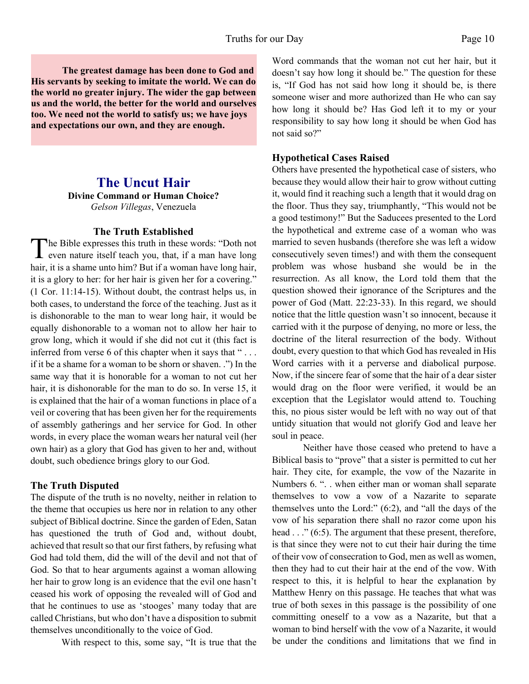#### Truths for our Day Page 10

**The greatest damage has been done to God and His servants by seeking to imitate the world. We can do the world no greater injury. The wider the gap between us and the world, the better for the world and ourselves too. We need not the world to satisfy us; we have joys and expectations our own, and they are enough.**

# **The Uncut Hair**

**Divine Command or Human Choice?** *Gelson Villegas*, Venezuela

#### **The Truth Established**

The Bible expresses this truth in these words: "Doth not even nature itself teach you, that, if a man have long he Bible expresses this truth in these words: "Doth not hair, it is a shame unto him? But if a woman have long hair, it is a glory to her: for her hair is given her for a covering." (1 Cor. 11:14-15). Without doubt, the contrast helps us, in both cases, to understand the force of the teaching. Just as it is dishonorable to the man to wear long hair, it would be equally dishonorable to a woman not to allow her hair to grow long, which it would if she did not cut it (this fact is inferred from verse 6 of this chapter when it says that " . . . if it be a shame for a woman to be shorn or shaven. .") In the same way that it is honorable for a woman to not cut her hair, it is dishonorable for the man to do so. In verse 15, it is explained that the hair of a woman functions in place of a veil or covering that has been given her for the requirements of assembly gatherings and her service for God. In other words, in every place the woman wears her natural veil (her own hair) as a glory that God has given to her and, without doubt, such obedience brings glory to our God.

#### **The Truth Disputed**

The dispute of the truth is no novelty, neither in relation to the theme that occupies us here nor in relation to any other subject of Biblical doctrine. Since the garden of Eden, Satan has questioned the truth of God and, without doubt, achieved that result so that our first fathers, by refusing what God had told them, did the will of the devil and not that of God. So that to hear arguments against a woman allowing her hair to grow long is an evidence that the evil one hasn't ceased his work of opposing the revealed will of God and that he continues to use as 'stooges' many today that are called Christians, but who don't have a disposition to submit themselves unconditionally to the voice of God.

With respect to this, some say, "It is true that the

Word commands that the woman not cut her hair, but it doesn't say how long it should be." The question for these is, "If God has not said how long it should be, is there someone wiser and more authorized than He who can say how long it should be? Has God left it to my or your responsibility to say how long it should be when God has not said so?"

## **Hypothetical Cases Raised**

Others have presented the hypothetical case of sisters, who because they would allow their hair to grow without cutting it, would find it reaching such a length that it would drag on the floor. Thus they say, triumphantly, "This would not be a good testimony!" But the Saducees presented to the Lord the hypothetical and extreme case of a woman who was married to seven husbands (therefore she was left a widow consecutively seven times!) and with them the consequent problem was whose husband she would be in the resurrection. As all know, the Lord told them that the question showed their ignorance of the Scriptures and the power of God (Matt. 22:23-33). In this regard, we should notice that the little question wasn't so innocent, because it carried with it the purpose of denying, no more or less, the doctrine of the literal resurrection of the body. Without doubt, every question to that which God has revealed in His Word carries with it a perverse and diabolical purpose. Now, if the sincere fear of some that the hair of a dear sister would drag on the floor were verified, it would be an exception that the Legislator would attend to. Touching this, no pious sister would be left with no way out of that untidy situation that would not glorify God and leave her soul in peace.

Neither have those ceased who pretend to have a Biblical basis to "prove" that a sister is permitted to cut her hair. They cite, for example, the vow of the Nazarite in Numbers 6. ". . when either man or woman shall separate themselves to vow a vow of a Nazarite to separate themselves unto the Lord:" (6:2), and "all the days of the vow of his separation there shall no razor come upon his head . . ." (6:5). The argument that these present, therefore, is that since they were not to cut their hair during the time of their vow of consecration to God, men as well as women, then they had to cut their hair at the end of the vow. With respect to this, it is helpful to hear the explanation by Matthew Henry on this passage. He teaches that what was true of both sexes in this passage is the possibility of one committing oneself to a vow as a Nazarite, but that a woman to bind herself with the vow of a Nazarite, it would be under the conditions and limitations that we find in